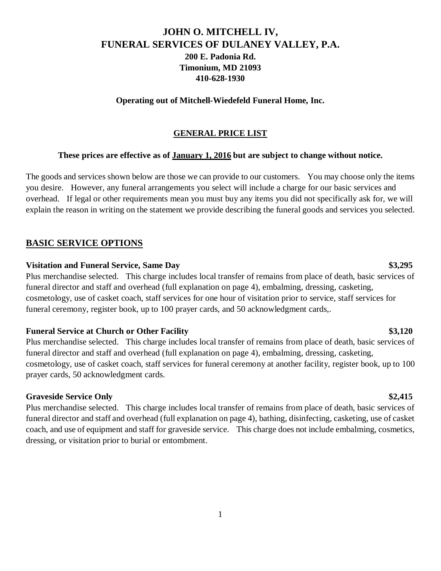# **JOHN O. MITCHELL IV, FUNERAL SERVICES OF DULANEY VALLEY, P.A. 200 E. Padonia Rd. Timonium, MD 21093 410-628-1930**

#### **Operating out of Mitchell-Wiedefeld Funeral Home, Inc.**

#### **GENERAL PRICE LIST**

### **These prices are effective as of January 1, 2016 but are subject to change without notice.**

The goods and services shown below are those we can provide to our customers. You may choose only the items you desire. However, any funeral arrangements you select will include a charge for our basic services and overhead. If legal or other requirements mean you must buy any items you did not specifically ask for, we will explain the reason in writing on the statement we provide describing the funeral goods and services you selected.

## **BASIC SERVICE OPTIONS**

#### **Visitation and Funeral Service, Same Day \$3,295**

Plus merchandise selected. This charge includes local transfer of remains from place of death, basic services of funeral director and staff and overhead (full explanation on page 4), embalming, dressing, casketing, cosmetology, use of casket coach, staff services for one hour of visitation prior to service, staff services for funeral ceremony, register book, up to 100 prayer cards, and 50 acknowledgment cards,.

#### **Funeral Service at Church or Other Facility \$3,120**

Plus merchandise selected. This charge includes local transfer of remains from place of death, basic services of funeral director and staff and overhead (full explanation on page 4), embalming, dressing, casketing, cosmetology, use of casket coach, staff services for funeral ceremony at another facility, register book, up to 100 prayer cards, 50 acknowledgment cards.

### **Graveside Service Only \$2,415**

Plus merchandise selected. This charge includes local transfer of remains from place of death, basic services of funeral director and staff and overhead (full explanation on page 4), bathing, disinfecting, casketing, use of casket coach, and use of equipment and staff for graveside service. This charge does not include embalming, cosmetics, dressing, or visitation prior to burial or entombment.

#### 1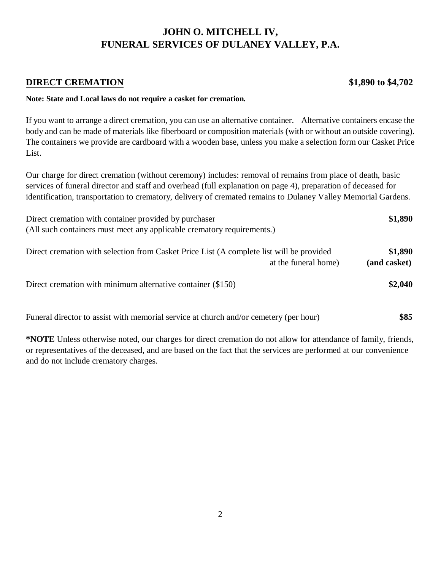# **DIRECT CREMATION** \$1,890 **to \$4,702**

#### **Note: State and Local laws do not require a casket for cremation.**

If you want to arrange a direct cremation, you can use an alternative container. Alternative containers encase the body and can be made of materials like fiberboard or composition materials (with or without an outside covering). The containers we provide are cardboard with a wooden base, unless you make a selection form our Casket Price List.

Our charge for direct cremation (without ceremony) includes: removal of remains from place of death, basic services of funeral director and staff and overhead (full explanation on page 4), preparation of deceased for identification, transportation to crematory, delivery of cremated remains to Dulaney Valley Memorial Gardens.

| Direct cremation with container provided by purchaser                                                            | \$1,890                 |
|------------------------------------------------------------------------------------------------------------------|-------------------------|
| (All such containers must meet any applicable crematory requirements.)                                           |                         |
| Direct cremation with selection from Casket Price List (A complete list will be provided<br>at the funeral home) | \$1,890<br>(and casket) |
| Direct cremation with minimum alternative container (\$150)                                                      | \$2,040                 |

Funeral director to assist with memorial service at church and/or cemetery (per hour) **\$85**

**\*NOTE** Unless otherwise noted, our charges for direct cremation do not allow for attendance of family, friends, or representatives of the deceased, and are based on the fact that the services are performed at our convenience and do not include crematory charges.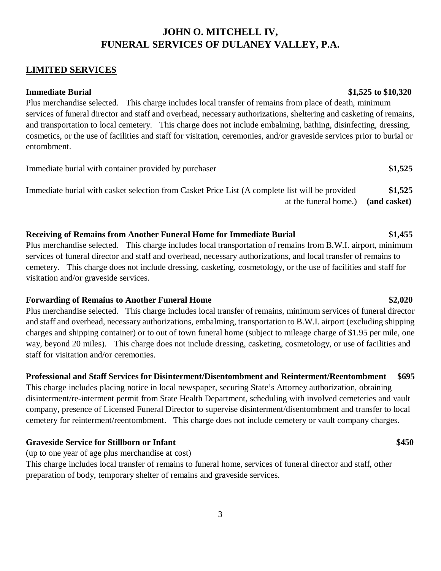### **LIMITED SERVICES**

**Immediate Burial \$1,525 to \$10,320** 

Plus merchandise selected. This charge includes local transfer of remains from place of death, minimum services of funeral director and staff and overhead, necessary authorizations, sheltering and casketing of remains, and transportation to local cemetery. This charge does not include embalming, bathing, disinfecting, dressing, cosmetics, or the use of facilities and staff for visitation, ceremonies, and/or graveside services prior to burial or entombment.

Immediate burial with container provided by purchaser **\$1,525** Immediate burial with casket selection from Casket Price List (A complete list will be provided **\$1,525** at the funeral home.) **(and casket)**

# **Receiving of Remains from Another Funeral Home for Immediate Burial \$1,455**

Plus merchandise selected. This charge includes local transportation of remains from B.W.I. airport, minimum services of funeral director and staff and overhead, necessary authorizations, and local transfer of remains to cemetery. This charge does not include dressing, casketing, cosmetology, or the use of facilities and staff for visitation and/or graveside services.

### **Forwarding of Remains to Another Funeral Home \$2,020**

Plus merchandise selected. This charge includes local transfer of remains, minimum services of funeral director and staff and overhead, necessary authorizations, embalming, transportation to B.W.I. airport (excluding shipping charges and shipping container) or to out of town funeral home (subject to mileage charge of \$1.95 per mile, one way, beyond 20 miles). This charge does not include dressing, casketing, cosmetology, or use of facilities and staff for visitation and/or ceremonies.

# **Professional and Staff Services for Disinterment/Disentombment and Reinterment/Reentombment \$695**

This charge includes placing notice in local newspaper, securing State's Attorney authorization, obtaining disinterment/re-interment permit from State Health Department, scheduling with involved cemeteries and vault company, presence of Licensed Funeral Director to supervise disinterment/disentombment and transfer to local cemetery for reinterment/reentombment. This charge does not include cemetery or vault company charges.

### **Graveside Service for Stillborn or Infant \$450**

(up to one year of age plus merchandise at cost)

This charge includes local transfer of remains to funeral home, services of funeral director and staff, other preparation of body, temporary shelter of remains and graveside services.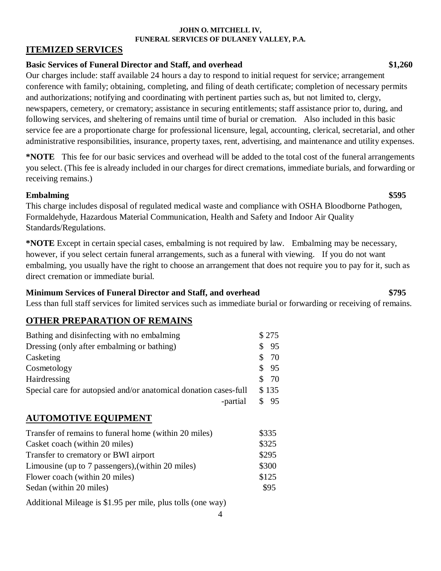# **ITEMIZED SERVICES**

# **Basic Services of Funeral Director and Staff, and overhead \$1,260**

Our charges include: staff available 24 hours a day to respond to initial request for service; arrangement conference with family; obtaining, completing, and filing of death certificate; completion of necessary permits and authorizations; notifying and coordinating with pertinent parties such as, but not limited to, clergy, newspapers, cemetery, or crematory; assistance in securing entitlements; staff assistance prior to, during, and following services, and sheltering of remains until time of burial or cremation. Also included in this basic service fee are a proportionate charge for professional licensure, legal, accounting, clerical, secretarial, and other administrative responsibilities, insurance, property taxes, rent, advertising, and maintenance and utility expenses.

**\*NOTE** This fee for our basic services and overhead will be added to the total cost of the funeral arrangements you select. (This fee is already included in our charges for direct cremations, immediate burials, and forwarding or receiving remains.)

# **Embalming \$595**

This charge includes disposal of regulated medical waste and compliance with OSHA Bloodborne Pathogen, Formaldehyde, Hazardous Material Communication, Health and Safety and Indoor Air Quality Standards/Regulations.

**\*NOTE** Except in certain special cases, embalming is not required by law. Embalming may be necessary, however, if you select certain funeral arrangements, such as a funeral with viewing. If you do not want embalming, you usually have the right to choose an arrangement that does not require you to pay for it, such as direct cremation or immediate burial.

# **Minimum Services of Funeral Director and Staff, and overhead \$795**

Less than full staff services for limited services such as immediate burial or forwarding or receiving of remains.

# **OTHER PREPARATION OF REMAINS**

| Bathing and disinfecting with no embalming                       |    | \$275 |
|------------------------------------------------------------------|----|-------|
| Dressing (only after embalming or bathing)                       | S  | - 95  |
| Casketing                                                        | S. | - 70  |
| Cosmetology                                                      |    | \$95  |
| Hairdressing                                                     |    | \$70  |
| Special care for autopsied and/or anatomical donation cases-full |    | \$135 |
| -partial                                                         |    | \$95  |

# **AUTOMOTIVE EQUIPMENT**

| Transfer of remains to funeral home (within 20 miles) | \$335 |
|-------------------------------------------------------|-------|
| Casket coach (within 20 miles)                        | \$325 |
| Transfer to crematory or BWI airport                  | \$295 |
| Limousine (up to 7 passengers), (within 20 miles)     | \$300 |
| Flower coach (within 20 miles)                        | \$125 |
| Sedan (within 20 miles)                               | \$95  |
|                                                       |       |

Additional Mileage is \$1.95 per mile, plus tolls (one way)